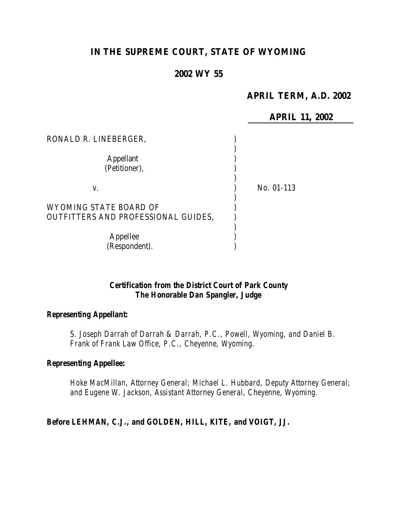# **IN THE SUPREME COURT, STATE OF WYOMING**

# **2002 WY 55**

## **APRIL TERM, A.D. 2002**

|                                     | <b>APRIL 11, 2002</b> |
|-------------------------------------|-----------------------|
| RONALD R. LINEBERGER,               |                       |
|                                     |                       |
| <b>Appellant</b>                    |                       |
| (Petitioner),                       |                       |
|                                     |                       |
| V.                                  | No. 01-113            |
|                                     |                       |
| WYOMING STATE BOARD OF              |                       |
| OUTFITTERS AND PROFESSIONAL GUIDES, |                       |
|                                     |                       |
| Appellee                            |                       |
| (Respondent).                       |                       |

### *Certification from the District Court of Park County The Honorable Dan Spangler, Judge*

#### *Representing Appellant:*

*S. Joseph Darrah of Darrah & Darrah, P.C., Powell, Wyoming, and Daniel B. Frank of Frank Law Office, P.C., Cheyenne, Wyoming.*

#### *Representing Appellee:*

*Hoke MacMillan, Attorney General; Michael L. Hubbard, Deputy Attorney General; and Eugene W. Jackson, Assistant Attorney General, Cheyenne, Wyoming.*

### *Before LEHMAN, C.J., and GOLDEN, HILL, KITE, and VOIGT, JJ.*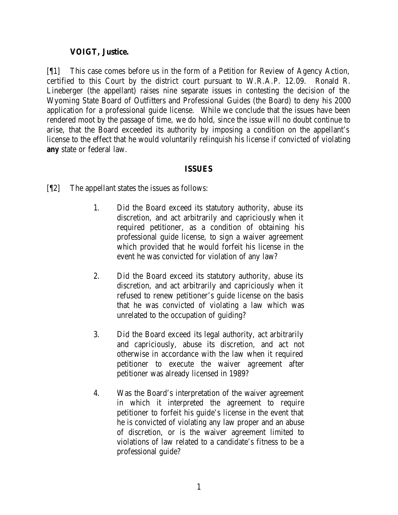### **VOIGT, Justice.**

[¶1] This case comes before us in the form of a Petition for Review of Agency Action, certified to this Court by the district court pursuant to W.R.A.P. 12.09. Ronald R. Lineberger (the appellant) raises nine separate issues in contesting the decision of the Wyoming State Board of Outfitters and Professional Guides (the Board) to deny his 2000 application for a professional guide license. While we conclude that the issues have been rendered moot by the passage of time, we do hold, since the issue will no doubt continue to arise, that the Board exceeded its authority by imposing a condition on the appellant's license to the effect that he would voluntarily relinquish his license if convicted of violating *any* state or federal law.

## **ISSUES**

- [¶2] The appellant states the issues as follows:
	- 1. Did the Board exceed its statutory authority, abuse its discretion, and act arbitrarily and capriciously when it required petitioner, as a condition of obtaining his professional guide license, to sign a waiver agreement which provided that he would forfeit his license in the event he was convicted for violation of any law?
	- 2. Did the Board exceed its statutory authority, abuse its discretion, and act arbitrarily and capriciously when it refused to renew petitioner's guide license on the basis that he was convicted of violating a law which was unrelated to the occupation of guiding?
	- 3. Did the Board exceed its legal authority, act arbitrarily and capriciously, abuse its discretion, and act not otherwise in accordance with the law when it required petitioner to execute the waiver agreement after petitioner was already licensed in 1989?
	- 4. Was the Board's interpretation of the waiver agreement in which it interpreted the agreement to require petitioner to forfeit his guide's license in the event that he is convicted of violating any law proper and an abuse of discretion, or is the waiver agreement limited to violations of law related to a candidate's fitness to be a professional guide?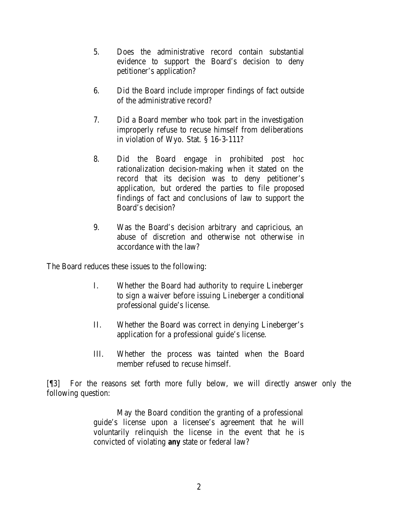- 5. Does the administrative record contain substantial evidence to support the Board's decision to deny petitioner's application?
- 6. Did the Board include improper findings of fact outside of the administrative record?
- 7. Did a Board member who took part in the investigation improperly refuse to recuse himself from deliberations in violation of Wyo. Stat. § 16-3-111?
- 8. Did the Board engage in prohibited *post hoc* rationalization decision-making when it stated on the record that its decision was to deny petitioner's application, but ordered the parties to file proposed findings of fact and conclusions of law to support the Board's decision?
- 9. Was the Board's decision arbitrary and capricious, an abuse of discretion and otherwise not otherwise in accordance with the law?

The Board reduces these issues to the following:

- I. Whether the Board had authority to require Lineberger to sign a waiver before issuing Lineberger a conditional professional guide's license.
- II. Whether the Board was correct in denying Lineberger's application for a professional guide's license.
- III. Whether the process was tainted when the Board member refused to recuse himself.

[¶3] For the reasons set forth more fully below, we will directly answer only the following question:

> May the Board condition the granting of a professional guide's license upon a licensee's agreement that he will voluntarily relinquish the license in the event that he is convicted of violating *any* state or federal law?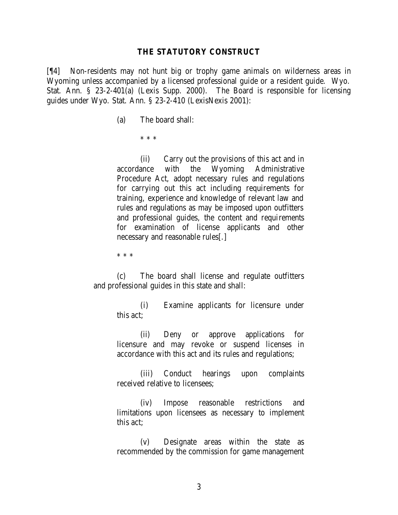#### **THE STATUTORY CONSTRUCT**

[¶4] Non-residents may not hunt big or trophy game animals on wilderness areas in Wyoming unless accompanied by a licensed professional guide or a resident guide. Wyo. Stat. Ann. § 23-2-401(a) (Lexis Supp. 2000). The Board is responsible for licensing guides under Wyo. Stat. Ann. § 23-2-410 (LexisNexis 2001):

(a) The board shall:

\* \* \*

(ii) Carry out the provisions of this act and in accordance with the Wyoming Administrative Procedure Act, adopt necessary rules and regulations for carrying out this act including requirements for training, experience and knowledge of relevant law and rules and regulations as may be imposed upon outfitters and professional guides, the content and requirements for examination of license applicants and other necessary and reasonable rules[.]

\* \* \*

(c) The board shall license and regulate outfitters and professional guides in this state and shall:

> (i) Examine applicants for licensure under this act;

> (ii) Deny or approve applications for licensure and may revoke or suspend licenses in accordance with this act and its rules and regulations;

> (iii) Conduct hearings upon complaints received relative to licensees;

> (iv) Impose reasonable restrictions and limitations upon licensees as necessary to implement this act;

> (v) Designate areas within the state as recommended by the commission for game management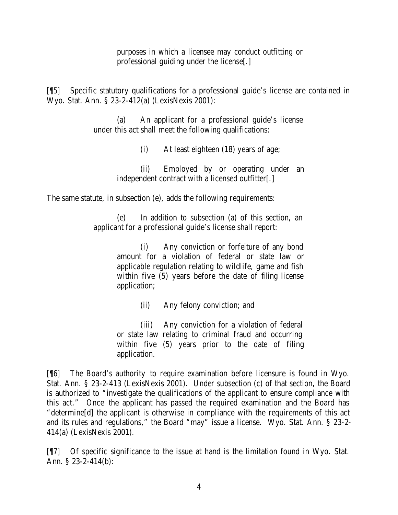purposes in which a licensee may conduct outfitting or professional guiding under the license[.]

[¶5] Specific statutory qualifications for a professional guide's license are contained in Wyo. Stat. Ann. § 23-2-412(a) (LexisNexis 2001):

> (a) An applicant for a professional guide's license under this act shall meet the following qualifications:

> > (i) At least eighteen (18) years of age;

(ii) Employed by or operating under an independent contract with a licensed outfitter[.]

The same statute, in subsection (e), adds the following requirements:

In addition to subsection (a) of this section, an applicant for a professional guide's license shall report:

> (i) Any conviction or forfeiture of any bond amount for a violation of federal or state law or applicable regulation relating to wildlife, game and fish within five (5) years before the date of filing license application;

> > (ii) Any felony conviction; and

(iii) Any conviction for a violation of federal or state law relating to criminal fraud and occurring within five (5) years prior to the date of filing application.

[¶6] The Board's authority to require examination before licensure is found in Wyo. Stat. Ann. § 23-2-413 (LexisNexis 2001). Under subsection (c) of that section, the Board is authorized to "investigate the qualifications of the applicant to ensure compliance with this act." Once the applicant has passed the required examination and the Board has "determine[d] the applicant is otherwise in compliance with the requirements of this act and its rules and regulations," the Board "may" issue a license. Wyo. Stat. Ann. § 23-2- 414(a) (LexisNexis 2001).

[¶7] Of specific significance to the issue at hand is the limitation found in Wyo. Stat. Ann. § 23-2-414(b):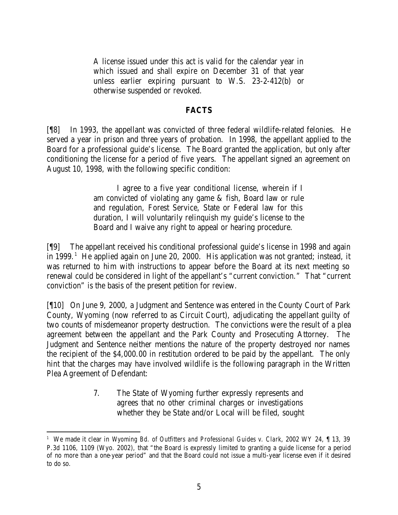A license issued under this act is valid for the calendar year in which issued and shall expire on December 31 of that year unless earlier expiring pursuant to W.S. 23-2-412(b) or otherwise suspended or revoked.

### **FACTS**

[¶8] In 1993, the appellant was convicted of three federal wildlife-related felonies. He served a year in prison and three years of probation. In 1998, the appellant applied to the Board for a professional guide's license. The Board granted the application, but only after conditioning the license for a period of five years. The appellant signed an agreement on August 10, 1998, with the following specific condition:

> I agree to a five year conditional license, wherein if I am convicted of violating any game & fish, Board law or rule and regulation, Forest Service, State or Federal law for this duration, I will voluntarily relinquish my guide's license to the Board and I waive any right to appeal or hearing procedure.

[¶9] The appellant received his conditional professional guide's license in 1998 and again in 1999.<sup>1</sup> He applied again on June 20, 2000. His application was not granted; instead, it was returned to him with instructions to appear before the Board at its next meeting so renewal could be considered in light of the appellant's "current conviction." That "current conviction" is the basis of the present petition for review.

[¶10] On June 9, 2000, a Judgment and Sentence was entered in the County Court of Park County, Wyoming (now referred to as Circuit Court), adjudicating the appellant guilty of two counts of misdemeanor property destruction. The convictions were the result of a plea agreement between the appellant and the Park County and Prosecuting Attorney. The Judgment and Sentence neither mentions the nature of the property destroyed nor names the recipient of the \$4,000.00 in restitution ordered to be paid by the appellant. The only hint that the charges may have involved wildlife is the following paragraph in the Written Plea Agreement of Defendant:

> 7. The State of Wyoming further expressly represents and agrees that no other criminal charges or investigations whether they be State and/or Local will be filed, sought

<sup>1</sup> We made it clear in *Wyoming Bd. of Outfitters and Professional Guides v. Clark*, 2002 WY 24, ¶ 13, 39 P.3d 1106, 1109 (Wyo. 2002), that "the Board is expressly limited to granting a guide license for a period of no more than a one-year period" and that the Board could not issue a multi-year license even if it desired to do so.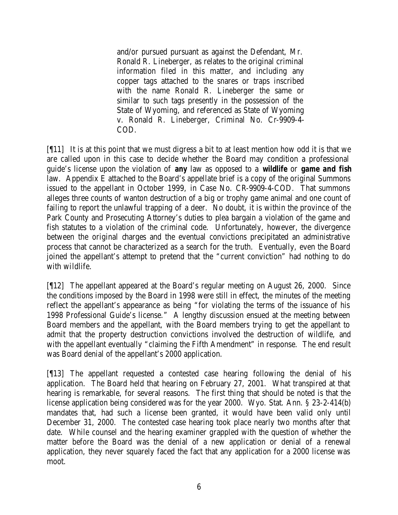and/or pursued pursuant as against the Defendant, Mr. Ronald R. Lineberger, as relates to the original criminal information filed in this matter, and including any copper tags attached to the snares or traps inscribed with the name Ronald R. Lineberger the same or similar to such tags presently in the possession of the State of Wyoming, and referenced as State of Wyoming v. Ronald R. Lineberger, Criminal No. Cr-9909-4- COD.

[¶11] It is at this point that we must digress a bit to at least mention how odd it is that we are called upon in this case to decide whether the Board may condition a professional guide's license upon the violation of *any* law as opposed to a *wildlife* or *game and fish* law. Appendix E attached to the Board's appellate brief is a copy of the original Summons issued to the appellant in October 1999, in Case No. CR-9909-4-COD. That summons alleges three counts of wanton destruction of a big or trophy game animal and one count of failing to report the unlawful trapping of a deer. No doubt, it is within the province of the Park County and Prosecuting Attorney's duties to plea bargain a violation of the game and fish statutes to a violation of the criminal code. Unfortunately, however, the divergence between the original charges and the eventual convictions precipitated an administrative process that cannot be characterized as a search for the truth. Eventually, even the Board joined the appellant's attempt to pretend that the "current conviction" had nothing to do with wildlife.

[¶12] The appellant appeared at the Board's regular meeting on August 26, 2000. Since the conditions imposed by the Board in 1998 were still in effect, the minutes of the meeting reflect the appellant's appearance as being "for violating the terms of the issuance of his 1998 Professional Guide's license." A lengthy discussion ensued at the meeting between Board members and the appellant, with the Board members trying to get the appellant to admit that the property destruction convictions involved the destruction of wildlife, and with the appellant eventually "claiming the Fifth Amendment" in response. The end result was Board denial of the appellant's 2000 application.

[¶13] The appellant requested a contested case hearing following the denial of his application. The Board held that hearing on February 27, 2001. What transpired at that hearing is remarkable, for several reasons. The first thing that should be noted is that the license application being considered was for the year 2000. Wyo. Stat. Ann. § 23-2-414(b) mandates that, had such a license been granted, it would have been valid only until December 31, 2000. The contested case hearing took place nearly two months after that date. While counsel and the hearing examiner grappled with the question of whether the matter before the Board was the denial of a new application or denial of a renewal application, they never squarely faced the fact that any application for a 2000 license was moot.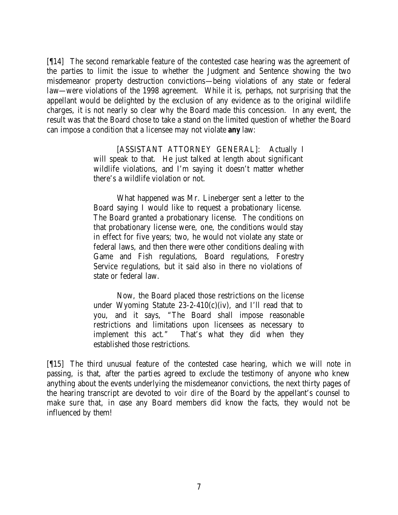[¶14] The second remarkable feature of the contested case hearing was the agreement of the parties to limit the issue to whether the Judgment and Sentence showing the two misdemeanor property destruction convictions—being violations of any state or federal law—were violations of the 1998 agreement. While it is, perhaps, not surprising that the appellant would be delighted by the exclusion of any evidence as to the original wildlife charges, it is not nearly so clear why the Board made this concession. In any event, the result was that the Board chose to take a stand on the limited question of whether the Board can impose a condition that a licensee may not violate *any* law:

> [ASSISTANT ATTORNEY GENERAL]: Actually I will speak to that. He just talked at length about significant wildlife violations, and I'm saying it doesn't matter whether there's a wildlife violation or not.

> What happened was Mr. Lineberger sent a letter to the Board saying I would like to request a probationary license. The Board granted a probationary license. The conditions on that probationary license were, one, the conditions would stay in effect for five years; two, he would not violate any state or federal laws, and then there were other conditions dealing with Game and Fish regulations, Board regulations, Forestry Service regulations, but it said also in there no violations of state or federal law.

> Now, the Board placed those restrictions on the license under Wyoming Statute  $23-2-410(c)(iv)$ , and I'll read that to you, and it says, "The Board shall impose reasonable restrictions and limitations upon licensees as necessary to implement this act." That's what they did when they established those restrictions.

[¶15] The third unusual feature of the contested case hearing, which we will note in passing, is that, after the parties agreed to exclude the testimony of anyone who knew anything about the events underlying the misdemeanor convictions, the next thirty pages of the hearing transcript are devoted to *voir dire* of the Board by the appellant's counsel to make sure that, in case any Board members did know the facts, they would not be influenced by them!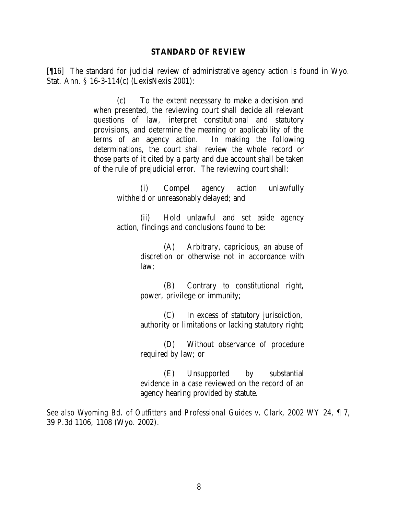#### **STANDARD OF REVIEW**

[¶16] The standard for judicial review of administrative agency action is found in Wyo. Stat. Ann. § 16-3-114(c) (LexisNexis 2001):

> (c) To the extent necessary to make a decision and when presented, the reviewing court shall decide all relevant questions of law, interpret constitutional and statutory provisions, and determine the meaning or applicability of the terms of an agency action. In making the following determinations, the court shall review the whole record or those parts of it cited by a party and due account shall be taken of the rule of prejudicial error. The reviewing court shall:

> > (i) Compel agency action unlawfully withheld or unreasonably delayed; and

> > (ii) Hold unlawful and set aside agency action, findings and conclusions found to be:

> > > (A) Arbitrary, capricious, an abuse of discretion or otherwise not in accordance with law;

> > > (B) Contrary to constitutional right, power, privilege or immunity;

> > > (C) In excess of statutory jurisdiction, authority or limitations or lacking statutory right;

> > > (D) Without observance of procedure required by law; or

> > > (E) Unsupported by substantial evidence in a case reviewed on the record of an agency hearing provided by statute.

*See also Wyoming Bd. of Outfitters and Professional Guides v. Clark*, 2002 WY 24, ¶ 7, 39 P.3d 1106, 1108 (Wyo. 2002).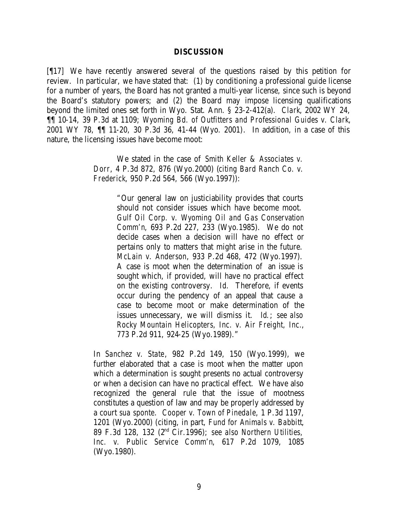#### **DISCUSSION**

[¶17] We have recently answered several of the questions raised by this petition for review. In particular, we have stated that: (1) by conditioning a professional guide license for a number of years, the Board has not granted a multi-year license, since such is beyond the Board's statutory powers; and (2) the Board may impose licensing qualifications beyond the limited ones set forth in Wyo. Stat. Ann. § 23-2-412(a). *Clark*, 2002 WY 24, ¶¶ 10-14, 39 P.3d at 1109; *Wyoming Bd. of Outfitters and Professional Guides v. Clark*, 2001 WY 78, ¶¶ 11-20, 30 P.3d 36, 41-44 (Wyo. 2001). In addition, in a case of this nature, the licensing issues have become moot:

> We stated in the case of *Smith Keller & Associates v. Dorr*, 4 P.3d 872, 876 (Wyo.2000) (*citing Bard Ranch Co. v. Frederick*, 950 P.2d 564, 566 (Wyo.1997)):

> > "Our general law on justiciability provides that courts should not consider issues which have become moot. *Gulf Oil Corp. v. Wyoming Oil and Gas Conservation Comm'n*, 693 P.2d 227, 233 (Wyo.1985). We do not decide cases when a decision will have no effect or pertains only to matters that might arise in the future. *McLain v. Anderson*, 933 P.2d 468, 472 (Wyo.1997). A case is moot when the determination of an issue is sought which, if provided, will have no practical effect on the existing controversy. *Id.* Therefore, if events occur during the pendency of an appeal that cause a case to become moot or make determination of the issues unnecessary, we will dismiss it. *Id.*; *see also Rocky Mountain Helicopters, Inc. v. Air Freight, Inc.*, 773 P.2d 911, 924-25 (Wyo.1989)."

In *Sanchez v. State*, 982 P.2d 149, 150 (Wyo.1999), we further elaborated that a case is moot when the matter upon which a determination is sought presents no actual controversy or when a decision can have no practical effect. We have also recognized the general rule that the issue of mootness constitutes a question of law and may be properly addressed by a court *sua sponte*. *Cooper v. Town of Pinedale*, 1 P.3d 1197, 1201 (Wyo.2000) (citing, in part, *Fund for Animals v. Babbitt*, 89 F.3d 128, 132 (2nd Cir.1996); *see also Northern Utilities, Inc. v. Public Service Comm'n*, 617 P.2d 1079, 1085 (Wyo.1980).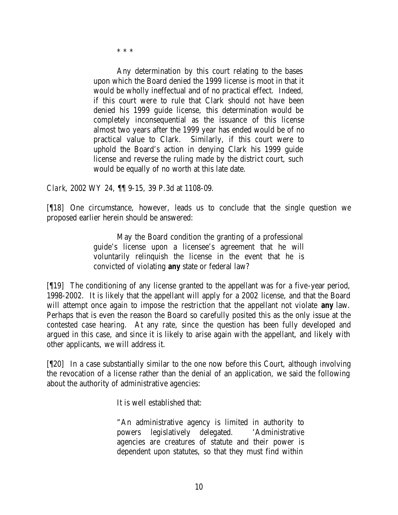\* \* \*

Any determination by this court relating to the bases upon which the Board denied the 1999 license is moot in that it would be wholly ineffectual and of no practical effect. Indeed, if this court were to rule that Clark should not have been denied his 1999 guide license, this determination would be completely inconsequential as the issuance of this license almost two years after the 1999 year has ended would be of no practical value to Clark. Similarly, if this court were to uphold the Board's action in denying Clark his 1999 guide license and reverse the ruling made by the district court, such would be equally of no worth at this late date.

*Clark*, 2002 WY 24, ¶¶ 9-15, 39 P.3d at 1108-09.

[¶18] One circumstance, however, leads us to conclude that the single question we proposed earlier herein should be answered:

> May the Board condition the granting of a professional guide's license upon a licensee's agreement that he will voluntarily relinquish the license in the event that he is convicted of violating *any* state or federal law?

[¶19] The conditioning of any license granted to the appellant was for a five-year period, 1998-2002. It is likely that the appellant will apply for a 2002 license, and that the Board will attempt once again to impose the restriction that the appellant not violate *any* law. Perhaps that is even the reason the Board so carefully posited this as the only issue at the contested case hearing. At any rate, since the question has been fully developed and argued in this case, and since it is likely to arise again with the appellant, and likely with other applicants, we will address it.

[¶20] In a case substantially similar to the one now before this Court, although involving the revocation of a license rather than the denial of an application, we said the following about the authority of administrative agencies:

It is well established that:

"An administrative agency is limited in authority to powers legislatively delegated. 'Administrative agencies are creatures of statute and their power is dependent upon statutes, so that they must find within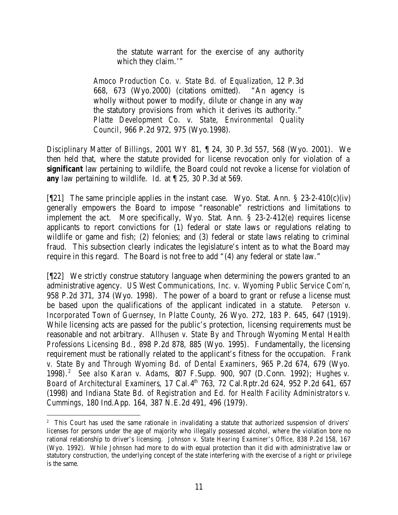the statute warrant for the exercise of any authority which they claim.'"

*Amoco Production Co. v. State Bd. of Equalization*, 12 P.3d 668, 673 (Wyo.2000) (citations omitted). "An agency is wholly without power to modify, dilute or change in any way the statutory provisions from which it derives its authority." *Platte Development Co. v. State, Environmental Quality Council*, 966 P.2d 972, 975 (Wyo.1998).

*Disciplinary Matter of Billings*, 2001 WY 81, ¶ 24, 30 P.3d 557, 568 (Wyo. 2001). We then held that, where the statute provided for license revocation only for violation of a *significant* law pertaining to wildlife, the Board could not revoke a license for violation of *any* law pertaining to wildlife. *Id.* at ¶ 25, 30 P.3d at 569.

[ $[21]$  The same principle applies in the instant case. Wyo. Stat. Ann. § 23-2-410(c)(iv) generally empowers the Board to impose "reasonable" restrictions and limitations to implement the act. More specifically, Wyo. Stat. Ann. § 23-2-412(e) requires license applicants to report convictions for (1) federal or state laws or regulations relating to wildlife or game and fish; (2) felonies; and (3) federal or state laws relating to criminal fraud. This subsection clearly indicates the legislature's intent as to what the Board may require in this regard. The Board is not free to add "(4) any federal or state law."

[¶22] We strictly construe statutory language when determining the powers granted to an administrative agency. *US West Communications, Inc. v. Wyoming Public Service Com'n*, 958 P.2d 371, 374 (Wyo. 1998). The power of a board to grant or refuse a license must be based upon the qualifications of the applicant indicated in a statute. *Peterson v. Incorporated Town of Guernsey, In Platte County*, 26 Wyo. 272, 183 P. 645, 647 (1919). While licensing acts are passed for the public's protection, licensing requirements must be reasonable and not arbitrary. *Allhusen v. State By and Through Wyoming Mental Health Professions Licensing Bd.*, 898 P.2d 878, 885 (Wyo. 1995). Fundamentally, the licensing requirement must be rationally related to the applicant's fitness for the occupation. *Frank v. State By and Through Wyoming Bd. of Dental Examiners*, 965 P.2d 674, 679 (Wyo. 1998). 2 *See also Karan v. Adams*, 807 F.Supp. 900, 907 (D.Conn. 1992); *Hughes v. Board of Architectural Examiners*, 17 Cal.4th 763, 72 Cal.Rptr.2d 624, 952 P.2d 641, 657 (1998) and *Indiana State Bd. of Registration and Ed. for Health Facility Administrators v. Cummings*, 180 Ind.App. 164, 387 N.E.2d 491, 496 (1979).

<sup>&</sup>lt;sup>2</sup> This Court has used the same rationale in invalidating a statute that authorized suspension of drivers' licenses for persons under the age of majority who illegally possessed alcohol, where the violation bore no rational relationship to driver's licensing. *Johnson v. State Hearing Examiner's Office*, 838 P.2d 158, 167 (Wyo. 1992). While *Johnson* had more to do with equal protection than it did with administrative law or statutory construction, the underlying concept of the state interfering with the exercise of a right or privilege is the same.